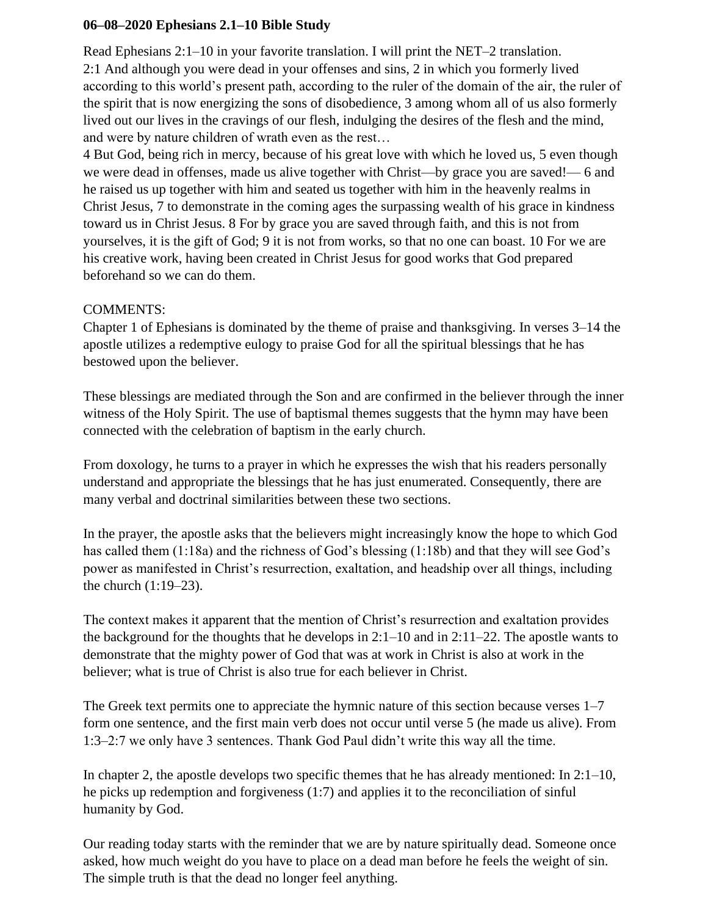## **06–08–2020 Ephesians 2.1–10 Bible Study**

Read Ephesians 2:1–10 in your favorite translation. I will print the NET–2 translation. 2:1 And although you were dead in your offenses and sins, 2 in which you formerly lived according to this world's present path, according to the ruler of the domain of the air, the ruler of the spirit that is now energizing the sons of disobedience, 3 among whom all of us also formerly lived out our lives in the cravings of our flesh, indulging the desires of the flesh and the mind, and were by nature children of wrath even as the rest…

4 But God, being rich in mercy, because of his great love with which he loved us, 5 even though we were dead in offenses, made us alive together with Christ—by grace you are saved!— 6 and he raised us up together with him and seated us together with him in the heavenly realms in Christ Jesus, 7 to demonstrate in the coming ages the surpassing wealth of his grace in kindness toward us in Christ Jesus. 8 For by grace you are saved through faith, and this is not from yourselves, it is the gift of God; 9 it is not from works, so that no one can boast. 10 For we are his creative work, having been created in Christ Jesus for good works that God prepared beforehand so we can do them.

## COMMENTS:

Chapter 1 of Ephesians is dominated by the theme of praise and thanksgiving. In verses 3–14 the apostle utilizes a redemptive eulogy to praise God for all the spiritual blessings that he has bestowed upon the believer.

These blessings are mediated through the Son and are confirmed in the believer through the inner witness of the Holy Spirit. The use of baptismal themes suggests that the hymn may have been connected with the celebration of baptism in the early church.

From doxology, he turns to a prayer in which he expresses the wish that his readers personally understand and appropriate the blessings that he has just enumerated. Consequently, there are many verbal and doctrinal similarities between these two sections.

In the prayer, the apostle asks that the believers might increasingly know the hope to which God has called them (1:18a) and the richness of God's blessing (1:18b) and that they will see God's power as manifested in Christ's resurrection, exaltation, and headship over all things, including the church (1:19–23).

The context makes it apparent that the mention of Christ's resurrection and exaltation provides the background for the thoughts that he develops in 2:1–10 and in 2:11–22. The apostle wants to demonstrate that the mighty power of God that was at work in Christ is also at work in the believer; what is true of Christ is also true for each believer in Christ.

The Greek text permits one to appreciate the hymnic nature of this section because verses 1–7 form one sentence, and the first main verb does not occur until verse 5 (he made us alive). From 1:3–2:7 we only have 3 sentences. Thank God Paul didn't write this way all the time.

In chapter 2, the apostle develops two specific themes that he has already mentioned: In 2:1–10, he picks up redemption and forgiveness (1:7) and applies it to the reconciliation of sinful humanity by God.

Our reading today starts with the reminder that we are by nature spiritually dead. Someone once asked, how much weight do you have to place on a dead man before he feels the weight of sin. The simple truth is that the dead no longer feel anything.